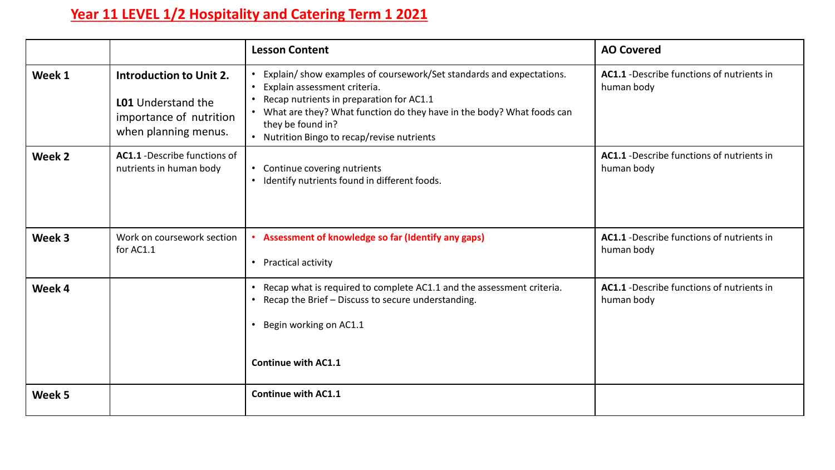## **Year 11 LEVEL 1/2 Hospitality and Catering Term 1 2021**

|        |                                                                                                         | <b>Lesson Content</b>                                                                                                                                                                                                                                                                          | <b>AO Covered</b>                                        |
|--------|---------------------------------------------------------------------------------------------------------|------------------------------------------------------------------------------------------------------------------------------------------------------------------------------------------------------------------------------------------------------------------------------------------------|----------------------------------------------------------|
| Week 1 | Introduction to Unit 2.<br><b>LO1</b> Understand the<br>importance of nutrition<br>when planning menus. | Explain/show examples of coursework/Set standards and expectations.<br>Explain assessment criteria.<br>Recap nutrients in preparation for AC1.1<br>• What are they? What function do they have in the body? What foods can<br>they be found in?<br>• Nutrition Bingo to recap/revise nutrients | AC1.1 - Describe functions of nutrients in<br>human body |
| Week 2 | <b>AC1.1</b> - Describe functions of<br>nutrients in human body                                         | • Continue covering nutrients<br>• Identify nutrients found in different foods.                                                                                                                                                                                                                | AC1.1 - Describe functions of nutrients in<br>human body |
| Week 3 | Work on coursework section<br>for AC1.1                                                                 | Assessment of knowledge so far (Identify any gaps)<br>Practical activity<br>$\bullet$                                                                                                                                                                                                          | AC1.1 - Describe functions of nutrients in<br>human body |
| Week 4 |                                                                                                         | Recap what is required to complete AC1.1 and the assessment criteria.<br>$\bullet$<br>Recap the Brief - Discuss to secure understanding.<br>• Begin working on AC1.1<br>Continue with AC1.1                                                                                                    | AC1.1 - Describe functions of nutrients in<br>human body |
| Week 5 |                                                                                                         | <b>Continue with AC1.1</b>                                                                                                                                                                                                                                                                     |                                                          |